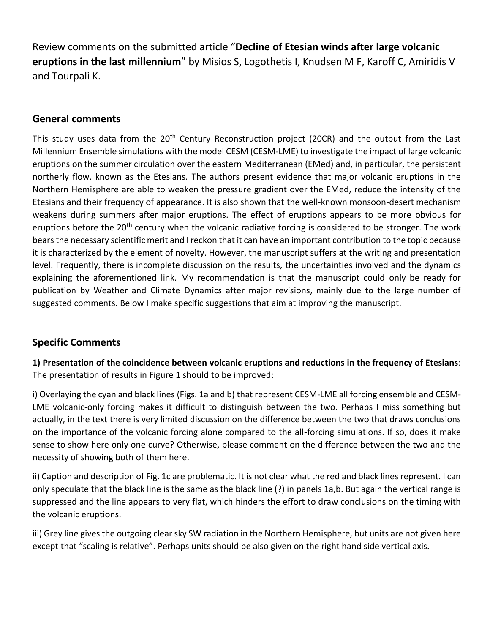Review comments on the submitted article "**Decline of Etesian winds after large volcanic eruptions in the last millennium**" by Misios S, Logothetis I, Knudsen M F, Karoff C, Amiridis V and Tourpali K.

# **General comments**

This study uses data from the 20<sup>th</sup> Century Reconstruction project (20CR) and the output from the Last Millennium Ensemble simulations with the model CESM (CESM-LME) to investigate the impact of large volcanic eruptions on the summer circulation over the eastern Mediterranean (EMed) and, in particular, the persistent northerly flow, known as the Etesians. The authors present evidence that major volcanic eruptions in the Northern Hemisphere are able to weaken the pressure gradient over the EMed, reduce the intensity of the Etesians and their frequency of appearance. It is also shown that the well-known monsoon-desert mechanism weakens during summers after major eruptions. The effect of eruptions appears to be more obvious for eruptions before the 20<sup>th</sup> century when the volcanic radiative forcing is considered to be stronger. The work bears the necessary scientific merit and I reckon that it can have an important contribution to the topic because it is characterized by the element of novelty. However, the manuscript suffers at the writing and presentation level. Frequently, there is incomplete discussion on the results, the uncertainties involved and the dynamics explaining the aforementioned link. My recommendation is that the manuscript could only be ready for publication by Weather and Climate Dynamics after major revisions, mainly due to the large number of suggested comments. Below I make specific suggestions that aim at improving the manuscript.

# **Specific Comments**

**1) Presentation of the coincidence between volcanic eruptions and reductions in the frequency of Etesians**: The presentation of results in Figure 1 should to be improved:

i) Overlaying the cyan and black lines (Figs. 1a and b) that represent CESM-LME all forcing ensemble and CESM-LME volcanic-only forcing makes it difficult to distinguish between the two. Perhaps I miss something but actually, in the text there is very limited discussion on the difference between the two that draws conclusions on the importance of the volcanic forcing alone compared to the all-forcing simulations. If so, does it make sense to show here only one curve? Otherwise, please comment on the difference between the two and the necessity of showing both of them here.

ii) Caption and description of Fig. 1c are problematic. It is not clear what the red and black lines represent. I can only speculate that the black line is the same as the black line (?) in panels 1a,b. But again the vertical range is suppressed and the line appears to very flat, which hinders the effort to draw conclusions on the timing with the volcanic eruptions.

iii) Grey line gives the outgoing clear sky SW radiation in the Northern Hemisphere, but units are not given here except that "scaling is relative". Perhaps units should be also given on the right hand side vertical axis.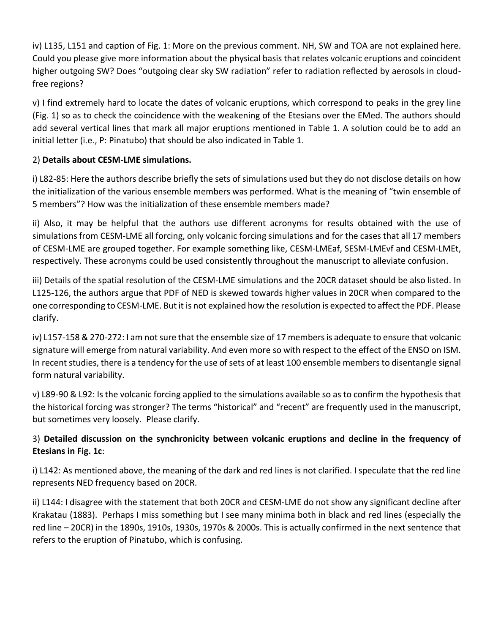iv) L135, L151 and caption of Fig. 1: More on the previous comment. NH, SW and TOA are not explained here. Could you please give more information about the physical basis that relates volcanic eruptions and coincident higher outgoing SW? Does "outgoing clear sky SW radiation" refer to radiation reflected by aerosols in cloudfree regions?

v) I find extremely hard to locate the dates of volcanic eruptions, which correspond to peaks in the grey line (Fig. 1) so as to check the coincidence with the weakening of the Etesians over the EMed. The authors should add several vertical lines that mark all major eruptions mentioned in Table 1. A solution could be to add an initial letter (i.e., P: Pinatubo) that should be also indicated in Table 1.

## 2) **Details about CESM-LME simulations.**

i) L82-85: Here the authors describe briefly the sets of simulations used but they do not disclose details on how the initialization of the various ensemble members was performed. What is the meaning of "twin ensemble of 5 members"? How was the initialization of these ensemble members made?

ii) Also, it may be helpful that the authors use different acronyms for results obtained with the use of simulations from CESM-LME all forcing, only volcanic forcing simulations and for the cases that all 17 members of CESM-LME are grouped together. For example something like, CESM-LMEaf, SESM-LMEvf and CESM-LMEt, respectively. These acronyms could be used consistently throughout the manuscript to alleviate confusion.

iii) Details of the spatial resolution of the CESM-LME simulations and the 20CR dataset should be also listed. In L125-126, the authors argue that PDF of NED is skewed towards higher values in 20CR when compared to the one corresponding to CESM-LME. But it is not explained how the resolution is expected to affect the PDF. Please clarify.

iv) L157-158 & 270-272: I am not sure that the ensemble size of 17 members is adequate to ensure that volcanic signature will emerge from natural variability. And even more so with respect to the effect of the ENSO on ISM. In recent studies, there is a tendency for the use of sets of at least 100 ensemble membersto disentangle signal form natural variability.

v) L89-90 & L92: Is the volcanic forcing applied to the simulations available so as to confirm the hypothesis that the historical forcing was stronger? The terms "historical" and "recent" are frequently used in the manuscript, but sometimes very loosely. Please clarify.

# 3) **Detailed discussion on the synchronicity between volcanic eruptions and decline in the frequency of Etesians in Fig. 1c**:

i) L142: As mentioned above, the meaning of the dark and red lines is not clarified. I speculate that the red line represents NED frequency based on 20CR.

ii) L144: I disagree with the statement that both 20CR and CESM-LME do not show any significant decline after Krakatau (1883). Perhaps I miss something but I see many minima both in black and red lines (especially the red line – 20CR) in the 1890s, 1910s, 1930s, 1970s & 2000s. This is actually confirmed in the next sentence that refers to the eruption of Pinatubo, which is confusing.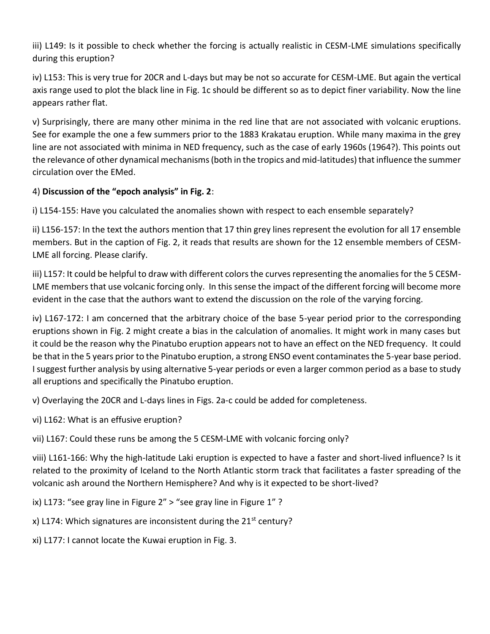iii) L149: Is it possible to check whether the forcing is actually realistic in CESM-LME simulations specifically during this eruption?

iv) L153: This is very true for 20CR and L-days but may be not so accurate for CESM-LME. But again the vertical axis range used to plot the black line in Fig. 1c should be different so as to depict finer variability. Now the line appears rather flat.

v) Surprisingly, there are many other minima in the red line that are not associated with volcanic eruptions. See for example the one a few summers prior to the 1883 Krakatau eruption. While many maxima in the grey line are not associated with minima in NED frequency, such as the case of early 1960s (1964?). This points out the relevance of other dynamical mechanisms (both in the tropics and mid-latitudes) that influence the summer circulation over the EMed.

#### 4) **Discussion of the "epoch analysis" in Fig. 2**:

i) L154-155: Have you calculated the anomalies shown with respect to each ensemble separately?

ii) L156-157: In the text the authors mention that 17 thin grey lines represent the evolution for all 17 ensemble members. But in the caption of Fig. 2, it reads that results are shown for the 12 ensemble members of CESM-LME all forcing. Please clarify.

iii) L157: It could be helpful to draw with different colors the curves representing the anomalies for the 5 CESM-LME members that use volcanic forcing only. In this sense the impact of the different forcing will become more evident in the case that the authors want to extend the discussion on the role of the varying forcing.

iv) L167-172: I am concerned that the arbitrary choice of the base 5-year period prior to the corresponding eruptions shown in Fig. 2 might create a bias in the calculation of anomalies. It might work in many cases but it could be the reason why the Pinatubo eruption appears not to have an effect on the NED frequency. It could be that in the 5 years prior to the Pinatubo eruption, a strong ENSO event contaminates the 5-year base period. I suggest further analysis by using alternative 5-year periods or even a larger common period as a base to study all eruptions and specifically the Pinatubo eruption.

v) Overlaying the 20CR and L-days lines in Figs. 2a-c could be added for completeness.

vi) L162: What is an effusive eruption?

vii) L167: Could these runs be among the 5 CESM-LME with volcanic forcing only?

viii) L161-166: Why the high-latitude Laki eruption is expected to have a faster and short-lived influence? Is it related to the proximity of Iceland to the North Atlantic storm track that facilitates a faster spreading of the volcanic ash around the Northern Hemisphere? And why is it expected to be short-lived?

ix) L173: "see gray line in Figure 2" > "see gray line in Figure 1" ?

x) L174: Which signatures are inconsistent during the  $21^{st}$  century?

xi) L177: I cannot locate the Kuwai eruption in Fig. 3.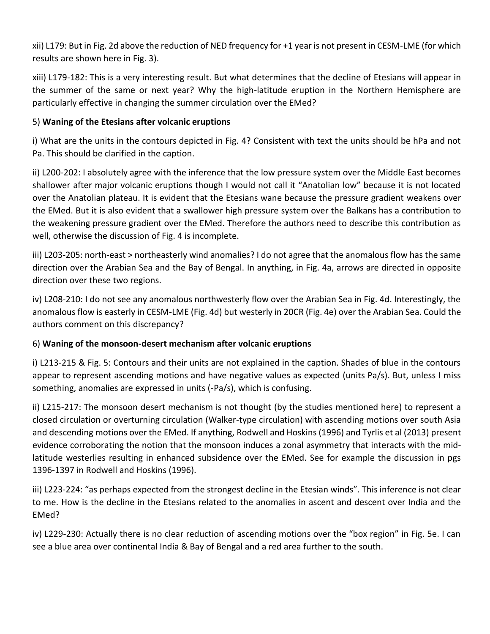xii) L179: But in Fig. 2d above the reduction of NED frequency for +1 year is not present in CESM-LME (for which results are shown here in Fig. 3).

xiii) L179-182: This is a very interesting result. But what determines that the decline of Etesians will appear in the summer of the same or next year? Why the high-latitude eruption in the Northern Hemisphere are particularly effective in changing the summer circulation over the EMed?

### 5) **Waning of the Etesians after volcanic eruptions**

i) What are the units in the contours depicted in Fig. 4? Consistent with text the units should be hPa and not Pa. This should be clarified in the caption.

ii) L200-202: I absolutely agree with the inference that the low pressure system over the Middle East becomes shallower after major volcanic eruptions though I would not call it "Anatolian low" because it is not located over the Anatolian plateau. It is evident that the Etesians wane because the pressure gradient weakens over the EMed. But it is also evident that a swallower high pressure system over the Balkans has a contribution to the weakening pressure gradient over the EMed. Therefore the authors need to describe this contribution as well, otherwise the discussion of Fig. 4 is incomplete.

iii) L203-205: north-east > northeasterly wind anomalies? I do not agree that the anomalous flow has the same direction over the Arabian Sea and the Bay of Bengal. In anything, in Fig. 4a, arrows are directed in opposite direction over these two regions.

iv) L208-210: I do not see any anomalous northwesterly flow over the Arabian Sea in Fig. 4d. Interestingly, the anomalous flow is easterly in CESM-LME (Fig. 4d) but westerly in 20CR (Fig. 4e) over the Arabian Sea. Could the authors comment on this discrepancy?

#### 6) **Waning of the monsoon-desert mechanism after volcanic eruptions**

i) L213-215 & Fig. 5: Contours and their units are not explained in the caption. Shades of blue in the contours appear to represent ascending motions and have negative values as expected (units Pa/s). But, unless I miss something, anomalies are expressed in units (-Pa/s), which is confusing.

ii) L215-217: The monsoon desert mechanism is not thought (by the studies mentioned here) to represent a closed circulation or overturning circulation (Walker-type circulation) with ascending motions over south Asia and descending motions over the EMed. If anything, Rodwell and Hoskins (1996) and Tyrlis et al (2013) present evidence corroborating the notion that the monsoon induces a zonal asymmetry that interacts with the midlatitude westerlies resulting in enhanced subsidence over the EMed. See for example the discussion in pgs 1396-1397 in Rodwell and Hoskins (1996).

iii) L223-224: "as perhaps expected from the strongest decline in the Etesian winds". This inference is not clear to me. How is the decline in the Etesians related to the anomalies in ascent and descent over India and the EMed?

iv) L229-230: Actually there is no clear reduction of ascending motions over the "box region" in Fig. 5e. I can see a blue area over continental India & Bay of Bengal and a red area further to the south.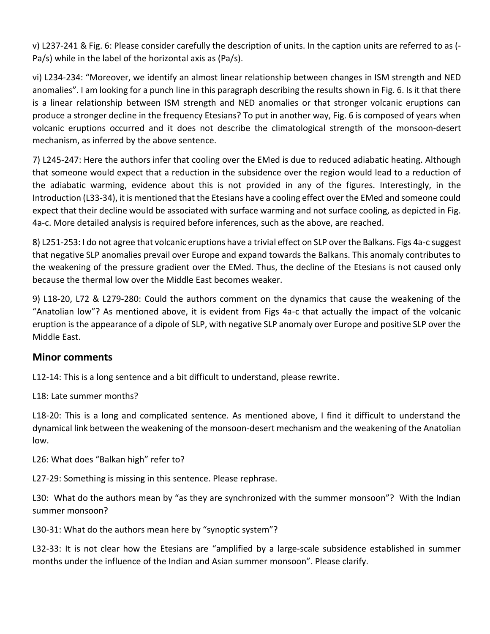v) L237-241 & Fig. 6: Please consider carefully the description of units. In the caption units are referred to as (- Pa/s) while in the label of the horizontal axis as (Pa/s).

vi) L234-234: "Moreover, we identify an almost linear relationship between changes in ISM strength and NED anomalies". I am looking for a punch line in this paragraph describing the results shown in Fig. 6. Is it that there is a linear relationship between ISM strength and NED anomalies or that stronger volcanic eruptions can produce a stronger decline in the frequency Etesians? To put in another way, Fig. 6 is composed of years when volcanic eruptions occurred and it does not describe the climatological strength of the monsoon-desert mechanism, as inferred by the above sentence.

7) L245-247: Here the authors infer that cooling over the EMed is due to reduced adiabatic heating. Although that someone would expect that a reduction in the subsidence over the region would lead to a reduction of the adiabatic warming, evidence about this is not provided in any of the figures. Interestingly, in the Introduction (L33-34), it is mentioned that the Etesians have a cooling effect over the EMed and someone could expect that their decline would be associated with surface warming and not surface cooling, as depicted in Fig. 4a-c. More detailed analysis is required before inferences, such as the above, are reached.

8) L251-253: I do not agree that volcanic eruptions have a trivial effect on SLP over the Balkans. Figs 4a-c suggest that negative SLP anomalies prevail over Europe and expand towards the Balkans. This anomaly contributes to the weakening of the pressure gradient over the EMed. Thus, the decline of the Etesians is not caused only because the thermal low over the Middle East becomes weaker.

9) L18-20, L72 & L279-280: Could the authors comment on the dynamics that cause the weakening of the "Anatolian low"? As mentioned above, it is evident from Figs 4a-c that actually the impact of the volcanic eruption is the appearance of a dipole of SLP, with negative SLP anomaly over Europe and positive SLP over the Middle East.

## **Minor comments**

L12-14: This is a long sentence and a bit difficult to understand, please rewrite.

L18: Late summer months?

L18-20: This is a long and complicated sentence. As mentioned above, I find it difficult to understand the dynamical link between the weakening of the monsoon-desert mechanism and the weakening of the Anatolian low.

L26: What does "Balkan high" refer to?

L27-29: Something is missing in this sentence. Please rephrase.

L30: What do the authors mean by "as they are synchronized with the summer monsoon"? With the Indian summer monsoon?

L30-31: What do the authors mean here by "synoptic system"?

L32-33: It is not clear how the Etesians are "amplified by a large-scale subsidence established in summer months under the influence of the Indian and Asian summer monsoon". Please clarify.